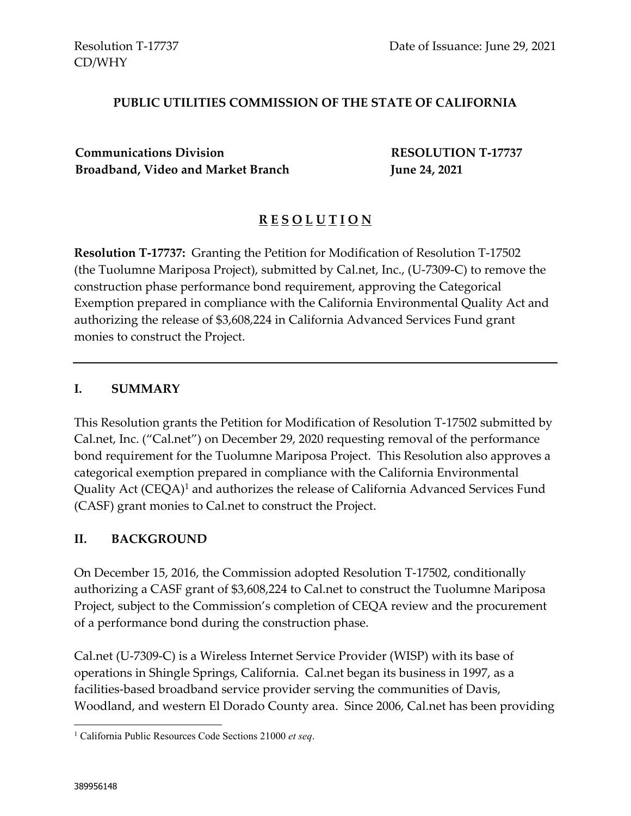### **PUBLIC UTILITIES COMMISSION OF THE STATE OF CALIFORNIA**

**Communications Division RESOLUTION T-17737 Broadband, Video and Market Branch June 24, 2021**

## **R E S O L U T I O N**

**Resolution T-17737:** Granting the Petition for Modification of Resolution T-17502 (the Tuolumne Mariposa Project), submitted by Cal.net, Inc., (U-7309-C) to remove the construction phase performance bond requirement, approving the Categorical Exemption prepared in compliance with the California Environmental Quality Act and authorizing the release of \$3,608,224 in California Advanced Services Fund grant monies to construct the Project.

#### **I. SUMMARY**

This Resolution grants the Petition for Modification of Resolution T-17502 submitted by Cal.net, Inc. ("Cal.net") on December 29, 2020 requesting removal of the performance bond requirement for the Tuolumne Mariposa Project. This Resolution also approves a categorical exemption prepared in compliance with the California Environmental Quality Act  $(CEQA)^1$  and authorizes the release of California Advanced Services Fund (CASF) grant monies to Cal.net to construct the Project.

#### **II. BACKGROUND**

On December 15, 2016, the Commission adopted Resolution T-17502, conditionally authorizing a CASF grant of \$3,608,224 to Cal.net to construct the Tuolumne Mariposa Project, subject to the Commission's completion of CEQA review and the procurement of a performance bond during the construction phase.

Cal.net (U-7309-C) is a Wireless Internet Service Provider (WISP) with its base of operations in Shingle Springs, California. Cal.net began its business in 1997, as a facilities-based broadband service provider serving the communities of Davis, Woodland, and western El Dorado County area. Since 2006, Cal.net has been providing

<sup>1</sup> California Public Resources Code Sections 21000 *et seq*.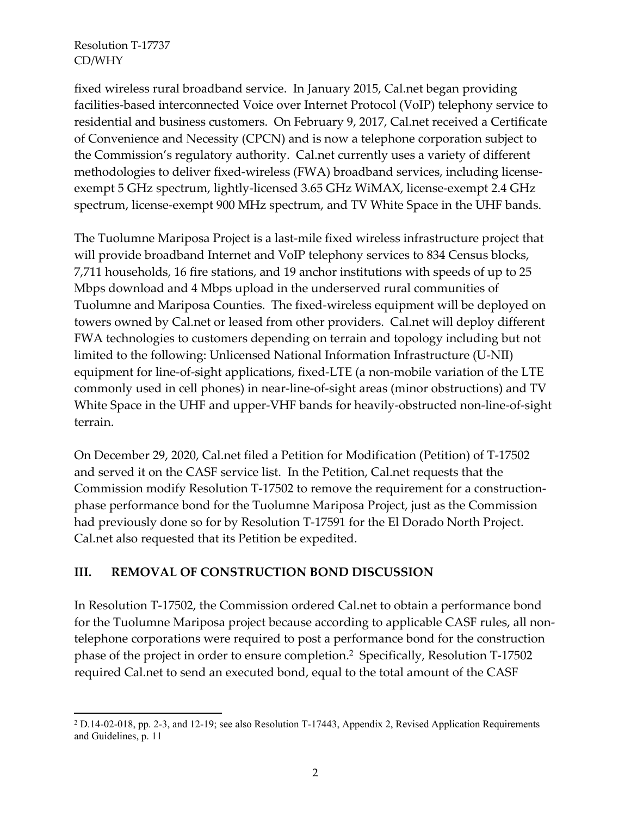fixed wireless rural broadband service. In January 2015, Cal.net began providing facilities-based interconnected Voice over Internet Protocol (VoIP) telephony service to residential and business customers. On February 9, 2017, Cal.net received a Certificate of Convenience and Necessity (CPCN) and is now a telephone corporation subject to the Commission's regulatory authority. Cal.net currently uses a variety of different methodologies to deliver fixed-wireless (FWA) broadband services, including licenseexempt 5 GHz spectrum, lightly-licensed 3.65 GHz WiMAX, license-exempt 2.4 GHz spectrum, license-exempt 900 MHz spectrum, and TV White Space in the UHF bands.

The Tuolumne Mariposa Project is a last-mile fixed wireless infrastructure project that will provide broadband Internet and VoIP telephony services to 834 Census blocks, 7,711 households, 16 fire stations, and 19 anchor institutions with speeds of up to 25 Mbps download and 4 Mbps upload in the underserved rural communities of Tuolumne and Mariposa Counties. The fixed-wireless equipment will be deployed on towers owned by Cal.net or leased from other providers. Cal.net will deploy different FWA technologies to customers depending on terrain and topology including but not limited to the following: Unlicensed National Information Infrastructure (U-NII) equipment for line-of-sight applications, fixed-LTE (a non-mobile variation of the LTE commonly used in cell phones) in near-line-of-sight areas (minor obstructions) and TV White Space in the UHF and upper-VHF bands for heavily-obstructed non-line-of-sight terrain.

On December 29, 2020, Cal.net filed a Petition for Modification (Petition) of T-17502 and served it on the CASF service list. In the Petition, Cal.net requests that the Commission modify Resolution T-17502 to remove the requirement for a constructionphase performance bond for the Tuolumne Mariposa Project, just as the Commission had previously done so for by Resolution T-17591 for the El Dorado North Project. Cal.net also requested that its Petition be expedited.

## **III. REMOVAL OF CONSTRUCTION BOND DISCUSSION**

In Resolution T-17502, the Commission ordered Cal.net to obtain a performance bond for the Tuolumne Mariposa project because according to applicable CASF rules, all nontelephone corporations were required to post a performance bond for the construction phase of the project in order to ensure completion.<sup>2</sup> Specifically, Resolution T-17502 required Cal.net to send an executed bond, equal to the total amount of the CASF

<sup>2</sup> D.14-02-018, pp. 2-3, and 12-19; see also Resolution T-17443, Appendix 2, Revised Application Requirements and Guidelines, p. 11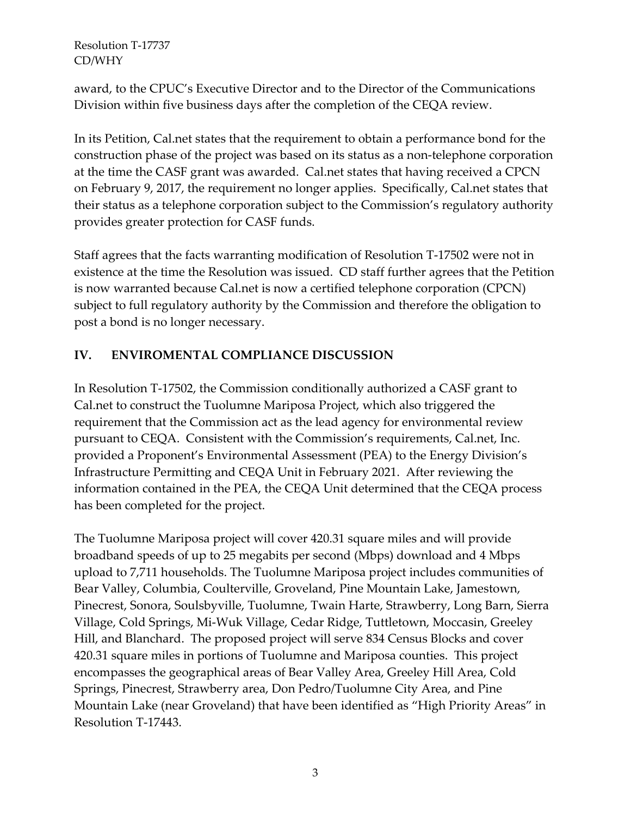award, to the CPUC's Executive Director and to the Director of the Communications Division within five business days after the completion of the CEQA review.

In its Petition, Cal.net states that the requirement to obtain a performance bond for the construction phase of the project was based on its status as a non-telephone corporation at the time the CASF grant was awarded. Cal.net states that having received a CPCN on February 9, 2017, the requirement no longer applies. Specifically, Cal.net states that their status as a telephone corporation subject to the Commission's regulatory authority provides greater protection for CASF funds.

Staff agrees that the facts warranting modification of Resolution T-17502 were not in existence at the time the Resolution was issued. CD staff further agrees that the Petition is now warranted because Cal.net is now a certified telephone corporation (CPCN) subject to full regulatory authority by the Commission and therefore the obligation to post a bond is no longer necessary.

## **IV. ENVIROMENTAL COMPLIANCE DISCUSSION**

In Resolution T-17502, the Commission conditionally authorized a CASF grant to Cal.net to construct the Tuolumne Mariposa Project, which also triggered the requirement that the Commission act as the lead agency for environmental review pursuant to CEQA. Consistent with the Commission's requirements, Cal.net, Inc. provided a Proponent's Environmental Assessment (PEA) to the Energy Division's Infrastructure Permitting and CEQA Unit in February 2021. After reviewing the information contained in the PEA, the CEQA Unit determined that the CEQA process has been completed for the project.

The Tuolumne Mariposa project will cover 420.31 square miles and will provide broadband speeds of up to 25 megabits per second (Mbps) download and 4 Mbps upload to 7,711 households. The Tuolumne Mariposa project includes communities of Bear Valley, Columbia, Coulterville, Groveland, Pine Mountain Lake, Jamestown, Pinecrest, Sonora, Soulsbyville, Tuolumne, Twain Harte, Strawberry, Long Barn, Sierra Village, Cold Springs, Mi-Wuk Village, Cedar Ridge, Tuttletown, Moccasin, Greeley Hill, and Blanchard. The proposed project will serve 834 Census Blocks and cover 420.31 square miles in portions of Tuolumne and Mariposa counties. This project encompasses the geographical areas of Bear Valley Area, Greeley Hill Area, Cold Springs, Pinecrest, Strawberry area, Don Pedro/Tuolumne City Area, and Pine Mountain Lake (near Groveland) that have been identified as "High Priority Areas" in Resolution T-17443.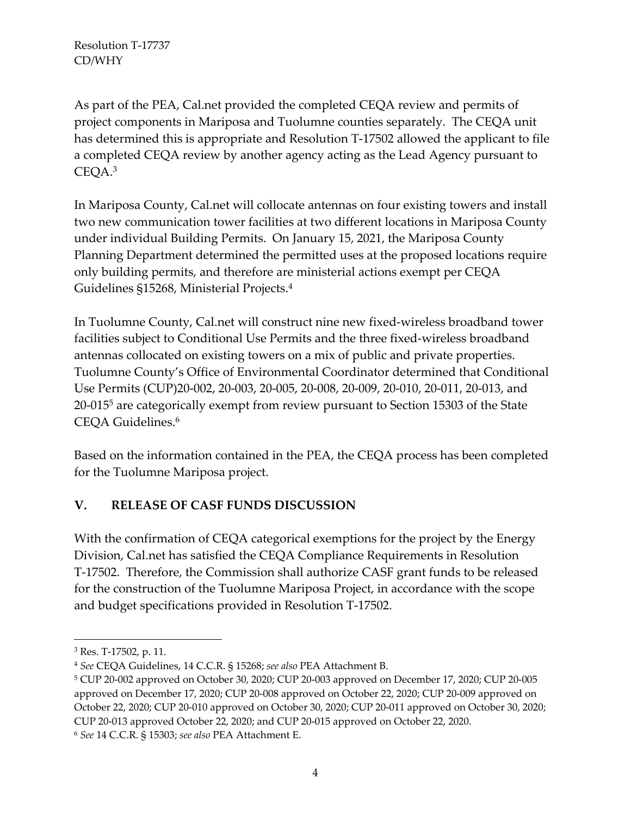As part of the PEA, Cal.net provided the completed CEQA review and permits of project components in Mariposa and Tuolumne counties separately. The CEQA unit has determined this is appropriate and Resolution T-17502 allowed the applicant to file a completed CEQA review by another agency acting as the Lead Agency pursuant to CEQA.<sup>3</sup>

In Mariposa County, Cal.net will collocate antennas on four existing towers and install two new communication tower facilities at two different locations in Mariposa County under individual Building Permits. On January 15, 2021, the Mariposa County Planning Department determined the permitted uses at the proposed locations require only building permits, and therefore are ministerial actions exempt per CEQA Guidelines §15268, Ministerial Projects.<sup>4</sup>

In Tuolumne County, Cal.net will construct nine new fixed-wireless broadband tower facilities subject to Conditional Use Permits and the three fixed-wireless broadband antennas collocated on existing towers on a mix of public and private properties. Tuolumne County's Office of Environmental Coordinator determined that Conditional Use Permits (CUP)20-002, 20-003, 20-005, 20-008, 20-009, 20-010, 20-011, 20-013, and 20-015<sup>5</sup> are categorically exempt from review pursuant to Section 15303 of the State CEQA Guidelines.<sup>6</sup>

Based on the information contained in the PEA, the CEQA process has been completed for the Tuolumne Mariposa project.

## **V. RELEASE OF CASF FUNDS DISCUSSION**

With the confirmation of CEQA categorical exemptions for the project by the Energy Division, Cal.net has satisfied the CEQA Compliance Requirements in Resolution T-17502. Therefore, the Commission shall authorize CASF grant funds to be released for the construction of the Tuolumne Mariposa Project, in accordance with the scope and budget specifications provided in Resolution T-17502.

<sup>3</sup> Res. T-17502, p. 11.

<sup>4</sup> *See* CEQA Guidelines, 14 C.C.R. § 15268; *see also* PEA Attachment B.

<sup>5</sup> CUP 20-002 approved on October 30, 2020; CUP 20-003 approved on December 17, 2020; CUP 20-005 approved on December 17, 2020; CUP 20-008 approved on October 22, 2020; CUP 20-009 approved on October 22, 2020; CUP 20-010 approved on October 30, 2020; CUP 20-011 approved on October 30, 2020; CUP 20-013 approved October 22, 2020; and CUP 20-015 approved on October 22, 2020.

<sup>6</sup> *See* 14 C.C.R. § 15303; *see also* PEA Attachment E.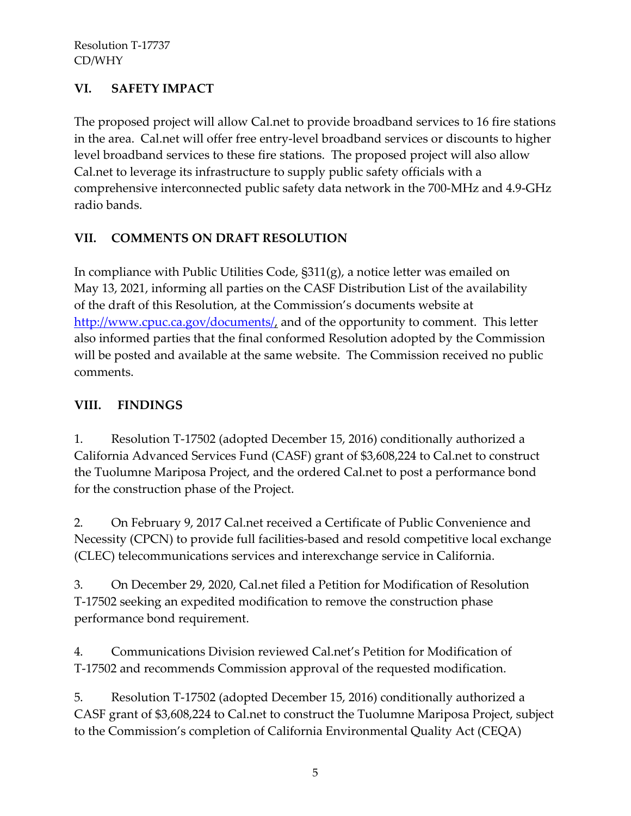# **VI. SAFETY IMPACT**

The proposed project will allow Cal.net to provide broadband services to 16 fire stations in the area. Cal.net will offer free entry-level broadband services or discounts to higher level broadband services to these fire stations. The proposed project will also allow Cal.net to leverage its infrastructure to supply public safety officials with a comprehensive interconnected public safety data network in the 700-MHz and 4.9-GHz radio bands.

# **VII. COMMENTS ON DRAFT RESOLUTION**

In compliance with Public Utilities Code, §311(g), a notice letter was emailed on May 13, 2021, informing all parties on the CASF Distribution List of the availability of the draft of this Resolution, at the Commission's documents website at [http://www.cpuc.ca.gov/documents/,](http://www.cpuc.ca.gov/documents/) and of the opportunity to comment. This letter also informed parties that the final conformed Resolution adopted by the Commission will be posted and available at the same website. The Commission received no public comments.

# **VIII. FINDINGS**

1. Resolution T-17502 (adopted December 15, 2016) conditionally authorized a California Advanced Services Fund (CASF) grant of \$3,608,224 to Cal.net to construct the Tuolumne Mariposa Project, and the ordered Cal.net to post a performance bond for the construction phase of the Project.

2. On February 9, 2017 Cal.net received a Certificate of Public Convenience and Necessity (CPCN) to provide full facilities-based and resold competitive local exchange (CLEC) telecommunications services and interexchange service in California.

3. On December 29, 2020, Cal.net filed a Petition for Modification of Resolution T-17502 seeking an expedited modification to remove the construction phase performance bond requirement.

4. Communications Division reviewed Cal.net's Petition for Modification of T-17502 and recommends Commission approval of the requested modification.

5. Resolution T-17502 (adopted December 15, 2016) conditionally authorized a CASF grant of \$3,608,224 to Cal.net to construct the Tuolumne Mariposa Project, subject to the Commission's completion of California Environmental Quality Act (CEQA)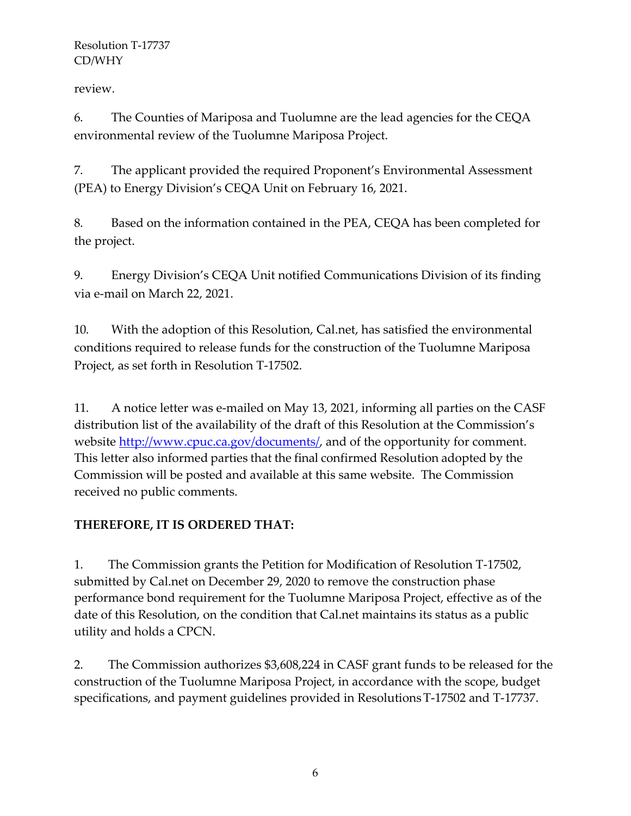review.

6. The Counties of Mariposa and Tuolumne are the lead agencies for the CEQA environmental review of the Tuolumne Mariposa Project.

7. The applicant provided the required Proponent's Environmental Assessment (PEA) to Energy Division's CEQA Unit on February 16, 2021.

8. Based on the information contained in the PEA, CEQA has been completed for the project.

9. Energy Division's CEQA Unit notified Communications Division of its finding via e-mail on March 22, 2021.

10. With the adoption of this Resolution, Cal.net, has satisfied the environmental conditions required to release funds for the construction of the Tuolumne Mariposa Project, as set forth in Resolution T-17502.

11. A notice letter was e-mailed on May 13, 2021, informing all parties on the CASF distribution list of the availability of the draft of this Resolution at the Commission's website <http://www.cpuc.ca.gov/documents/>, and of the opportunity for comment. This letter also informed parties that the final confirmed Resolution adopted by the Commission will be posted and available at this same website. The Commission received no public comments.

# **THEREFORE, IT IS ORDERED THAT:**

1. The Commission grants the Petition for Modification of Resolution T-17502, submitted by Cal.net on December 29, 2020 to remove the construction phase performance bond requirement for the Tuolumne Mariposa Project, effective as of the date of this Resolution, on the condition that Cal.net maintains its status as a public utility and holds a CPCN.

2. The Commission authorizes \$3,608,224 in CASF grant funds to be released for the construction of the Tuolumne Mariposa Project, in accordance with the scope, budget specifications, and payment guidelines provided in ResolutionsT-17502 and T-17737.